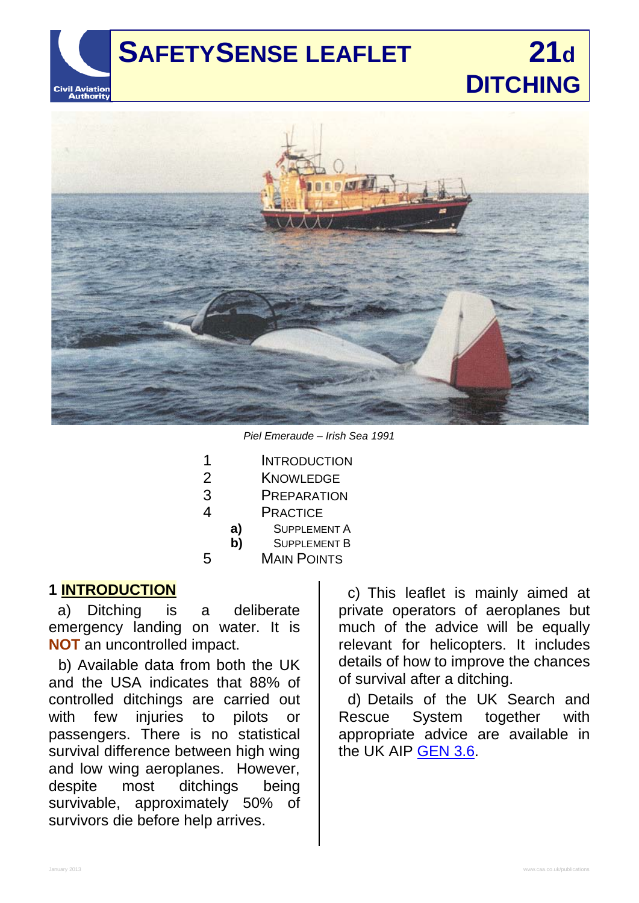# **Civil Aviation**<br>**Authority**

# **SAFETYSENSE LEAFLET 21d DITCHING**



*Piel Emeraude – Irish Sea 1991*

| 1              |                    | <b>INTRODUCTION</b> |  |
|----------------|--------------------|---------------------|--|
| $\overline{2}$ |                    | <b>KNOWLEDGE</b>    |  |
| 3              | <b>PREPARATION</b> |                     |  |
| 4              |                    | <b>PRACTICE</b>     |  |
|                | a)                 | <b>SUPPLEMENT A</b> |  |
|                | b)                 | <b>SUPPLEMENT B</b> |  |
| 5              |                    | <b>MAIN POINTS</b>  |  |
|                |                    |                     |  |

#### **1 INTRODUCTION**

a) Ditching is a deliberate emergency landing on water. It is **NOT** an uncontrolled impact.

b) Available data from both the UK and the USA indicates that 88% of controlled ditchings are carried out with few injuries to pilots or passengers. There is no statistical survival difference between high wing and low wing aeroplanes. However,<br>despite most ditchings being despite most ditchings being survivable, approximately 50% of survivors die before help arrives.

c) This leaflet is mainly aimed at private operators of aeroplanes but much of the advice will be equally relevant for helicopters. It includes details of how to improve the chances of survival after a ditching.

d) Details of the UK Search and Rescue System together with appropriate advice are available in the UK AIP [GEN 3.6.](http://www.nats-uk.ead-it.com/public/index.php%3Foption=com_content&task=blogcategory&id=3&Itemid=10.html)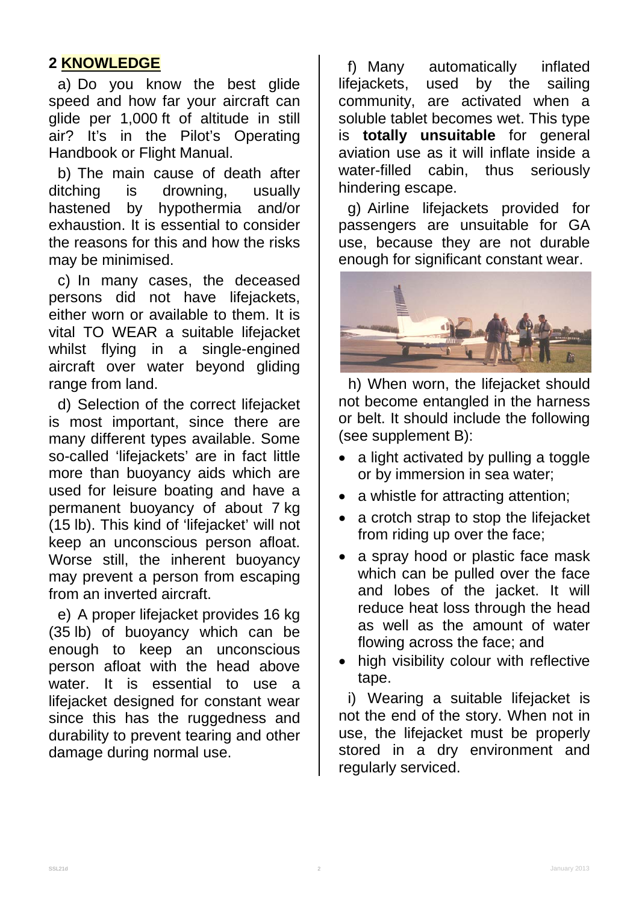# **2 KNOWLEDGE**

a) Do you know the best glide speed and how far your aircraft can glide per 1,000 ft of altitude in still air? It's in the Pilot's Operating Handbook or Flight Manual.

b) The main cause of death after ditching is drowning, usually hastened by hypothermia and/or exhaustion. It is essential to consider the reasons for this and how the risks may be minimised.

c) In many cases, the deceased persons did not have lifejackets, either worn or available to them. It is vital TO WEAR a suitable lifejacket whilst flying in a single-engined aircraft over water beyond gliding range from land.

d) Selection of the correct lifejacket is most important, since there are many different types available. Some so-called 'lifejackets' are in fact little more than buoyancy aids which are used for leisure boating and have a permanent buoyancy of about 7 kg (15 lb). This kind of 'lifejacket' will not keep an unconscious person afloat. Worse still, the inherent buoyancy may prevent a person from escaping from an inverted aircraft.

e) A proper lifejacket provides 16 kg (35 lb) of buoyancy which can be enough to keep an unconscious person afloat with the head above water. It is essential to use a lifejacket designed for constant wear since this has the ruggedness and durability to prevent tearing and other damage during normal use.

f) Many automatically inflated lifejackets, used by the sailing community, are activated when a soluble tablet becomes wet. This type is **totally unsuitable** for general aviation use as it will inflate inside a water-filled cabin, thus seriously hindering escape.

g) Airline lifejackets provided for passengers are unsuitable for GA use, because they are not durable enough for significant constant wear.



h) When worn, the lifejacket should not become entangled in the harness or belt. It should include the following (see supplement B):

- a light activated by pulling a toggle or by immersion in sea water;
- a whistle for attracting attention;
- a crotch strap to stop the lifejacket from riding up over the face;
- a spray hood or plastic face mask which can be pulled over the face and lobes of the jacket. It will reduce heat loss through the head as well as the amount of water flowing across the face; and
- high visibility colour with reflective tape.

i) Wearing a suitable lifejacket is not the end of the story. When not in use, the lifejacket must be properly stored in a dry environment and regularly serviced.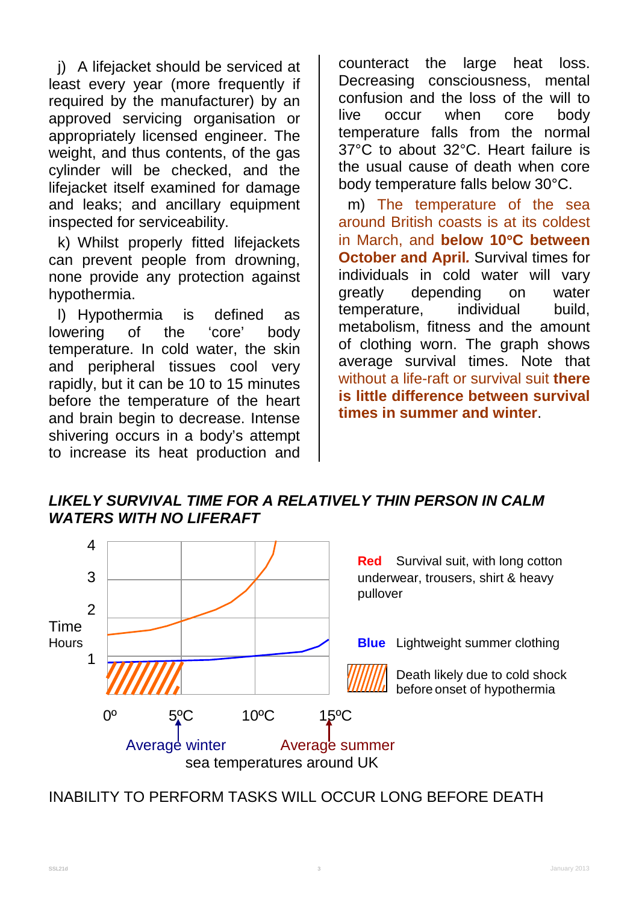j) A lifejacket should be serviced at least every year (more frequently if required by the manufacturer) by an approved servicing organisation or appropriately licensed engineer. The weight, and thus contents, of the gas cylinder will be checked, and the lifejacket itself examined for damage and leaks; and ancillary equipment inspected for serviceability.

k) Whilst properly fitted lifejackets can prevent people from drowning, none provide any protection against hypothermia.

l) Hypothermia is defined as lowering of the 'core' body temperature. In cold water, the skin and peripheral tissues cool very rapidly, but it can be 10 to 15 minutes before the temperature of the heart and brain begin to decrease. Intense shivering occurs in a body's attempt to increase its heat production and

counteract the large heat loss. Decreasing consciousness, mental confusion and the loss of the will to live occur when core body temperature falls from the normal 37°C to about 32°C. Heart failure is the usual cause of death when core body temperature falls below 30°C.

m) The temperature of the sea around British coasts is at its coldest in March, and **below 10**°**C between October and April***.* Survival times for individuals in cold water will vary greatly depending on water temperature, individual build, metabolism, fitness and the amount of clothing worn. The graph shows average survival times. Note that without a life-raft or survival suit **there is little difference between survival times in summer and winter**.

*LIKELY SURVIVAL TIME FOR A RELATIVELY THIN PERSON IN CALM WATERS WITH NO LIFERAFT*



INABILITY TO PERFORM TASKS WILL OCCUR LONG BEFORE DEATH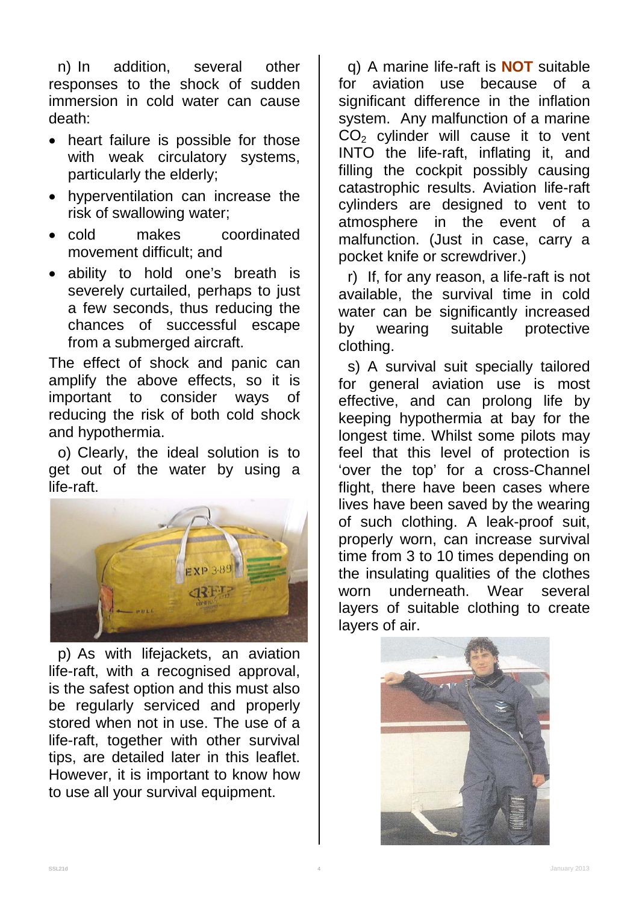n) In addition, several other responses to the shock of sudden immersion in cold water can cause death:

- heart failure is possible for those with weak circulatory systems, particularly the elderly;
- hyperventilation can increase the risk of swallowing water;
- cold makes coordinated movement difficult; and
- ability to hold one's breath is severely curtailed, perhaps to just a few seconds, thus reducing the chances of successful escape from a submerged aircraft.

The effect of shock and panic can amplify the above effects, so it is important to consider ways of reducing the risk of both cold shock and hypothermia.

o) Clearly, the ideal solution is to get out of the water by using a life-raft.



p) As with lifejackets, an aviation life-raft, with a recognised approval, is the safest option and this must also be regularly serviced and properly stored when not in use. The use of a life-raft, together with other survival tips, are detailed later in this leaflet. However, it is important to know how to use all your survival equipment.

q) A marine life-raft is **NOT** suitable for aviation use because of a significant difference in the inflation system. Any malfunction of a marine CO<sub>2</sub> cylinder will cause it to vent INTO the life-raft, inflating it, and filling the cockpit possibly causing catastrophic results. Aviation life-raft cylinders are designed to vent to atmosphere in the event of a malfunction. (Just in case, carry a pocket knife or screwdriver.)

r) If, for any reason, a life-raft is not available, the survival time in cold water can be significantly increased<br>by wearing suitable protective by wearing suitable protective clothing.

s) A survival suit specially tailored for general aviation use is most effective, and can prolong life by keeping hypothermia at bay for the longest time. Whilst some pilots may feel that this level of protection is 'over the top' for a cross-Channel flight, there have been cases where lives have been saved by the wearing of such clothing. A leak-proof suit, properly worn, can increase survival time from 3 to 10 times depending on the insulating qualities of the clothes worn underneath. Wear several layers of suitable clothing to create layers of air.

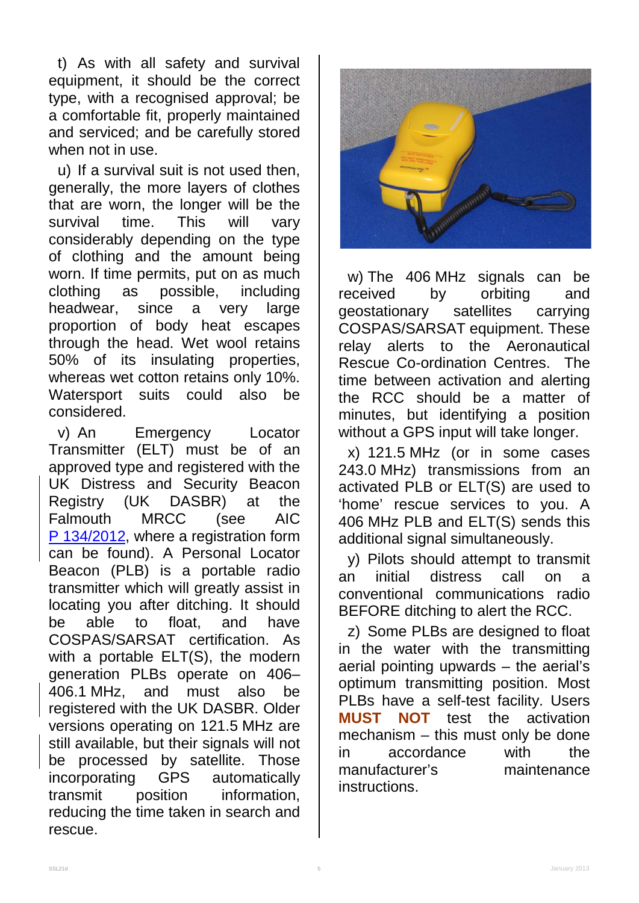t) As with all safety and survival equipment, it should be the correct type, with a recognised approval; be a comfortable fit, properly maintained and serviced; and be carefully stored when not in use.

u) If a survival suit is not used then, generally, the more layers of clothes that are worn, the longer will be the survival time. This will vary considerably depending on the type of clothing and the amount being worn. If time permits, put on as much clothing as possible, including headwear, since a very large proportion of body heat escapes through the head. Wet wool retains 50% of its insulating properties, whereas wet cotton retains only 10%. Watersport suits could also be considered.

v) An Emergency Locator Transmitter (ELT) must be of an approved type and registered with the UK Distress and Security Beacon Registry (UK DASBR) at the Falmouth MRCC (see AIC P [134/2012,](http://www.nats-uk.ead-it.com/public/index.php%3Foption=com_content&task=blogcategory&id=161&Itemid=58.html) where a registration form can be found). A Personal Locator Beacon (PLB) is a portable radio transmitter which will greatly assist in locating you after ditching. It should be able to float, and have COSPAS/SARSAT certification. As with a portable ELT(S), the modern generation PLBs operate on 406– 406.1 MHz, and must also be registered with the UK DASBR. Older versions operating on 121.5 MHz are still available, but their signals will not be processed by satellite. Those incorporating GPS automatically transmit position information, reducing the time taken in search and rescue.



w) The 406 MHz signals can be<br>eceived by orbiting and received by orbiting and geostationary satellites carrying COSPAS/SARSAT equipment. These relay alerts to the Aeronautical Rescue Co-ordination Centres. The time between activation and alerting the RCC should be a matter of minutes, but identifying a position without a GPS input will take longer.

x) 121.5 MHz (or in some cases 243.0 MHz) transmissions from an activated PLB or ELT(S) are used to 'home' rescue services to you. A 406 MHz PLB and ELT(S) sends this additional signal simultaneously.

y) Pilots should attempt to transmit an initial distress call on a conventional communications radio BEFORE ditching to alert the RCC.

z) Some PLBs are designed to float in the water with the transmitting aerial pointing upwards – the aerial's optimum transmitting position. Most PLBs have a self-test facility. Users **MUST NOT** test the activation mechanism – this must only be done in accordance with the manufacturer's maintenance instructions.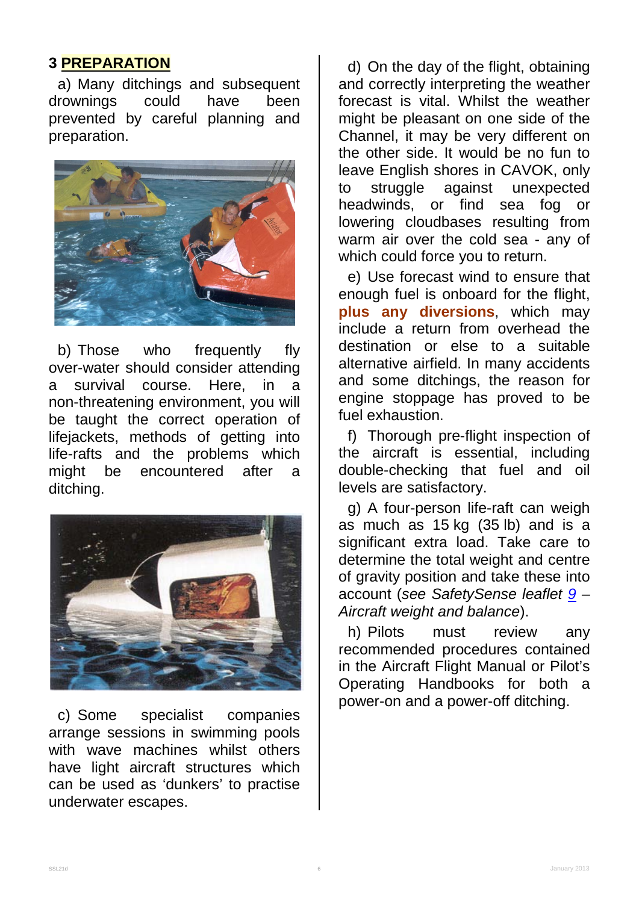#### **3 PREPARATION**

a) Many ditchings and subsequent<br>rownings could have been drownings could have been prevented by careful planning and preparation.



b) Those who frequently fly over-water should consider attending a survival course. Here, in a non-threatening environment, you will be taught the correct operation of lifejackets, methods of getting into life-rafts and the problems which might be encountered after a ditching.



c) Some specialist companies arrange sessions in swimming pools with wave machines whilst others have light aircraft structures which can be used as 'dunkers' to practise underwater escapes.

d) On the day of the flight, obtaining and correctly interpreting the weather forecast is vital. Whilst the weather might be pleasant on one side of the Channel, it may be very different on the other side. It would be no fun to leave English shores in CAVOK, only to struggle against unexpected headwinds, or find sea fog or lowering cloudbases resulting from warm air over the cold sea - any of which could force you to return.

e) Use forecast wind to ensure that enough fuel is onboard for the flight, **plus any diversions**, which may include a return from overhead the destination or else to a suitable alternative airfield. In many accidents and some ditchings, the reason for engine stoppage has proved to be fuel exhaustion.

f) Thorough pre-flight inspection of the aircraft is essential, including double-checking that fuel and oil levels are satisfactory.

g) A four-person life-raft can weigh as much as 15 kg (35 lb) and is a significant extra load. Take care to determine the total weight and centre of gravity position and take these into account (*see SafetySense leaflet [9](http://www.caa.co.uk/safetysenseleaflet09) – Aircraft weight and balance*).

h) Pilots must review any recommended procedures contained in the Aircraft Flight Manual or Pilot's Operating Handbooks for both a power-on and a power-off ditching.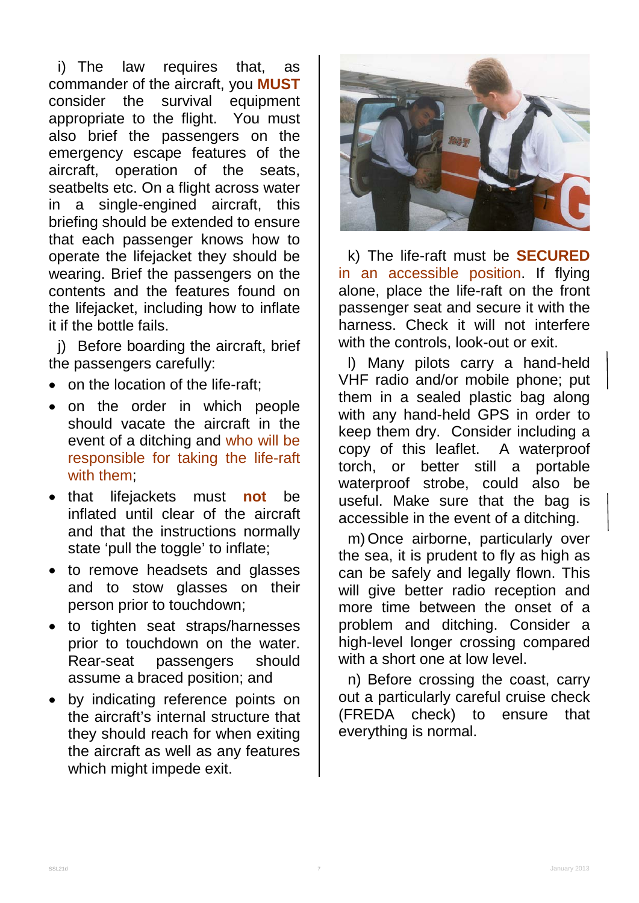i) The law requires that, as commander of the aircraft, you **MUST** survival equipment appropriate to the flight. You must also brief the passengers on the emergency escape features of the aircraft, operation of the seats, seatbelts etc. On a flight across water in a single-engined aircraft, this briefing should be extended to ensure that each passenger knows how to operate the lifejacket they should be wearing. Brief the passengers on the contents and the features found on the lifejacket, including how to inflate it if the bottle fails.

j) Before boarding the aircraft, brief the passengers carefully:

- on the location of the life-raft;
- on the order in which people should vacate the aircraft in the event of a ditching and who will be responsible for taking the life-raft with them;
- that lifejackets must **not** be inflated until clear of the aircraft and that the instructions normally state 'pull the toggle' to inflate;
- to remove headsets and glasses and to stow glasses on their person prior to touchdown;
- to tighten seat straps/harnesses prior to touchdown on the water. Rear-seat passengers should assume a braced position; and
- by indicating reference points on the aircraft's internal structure that they should reach for when exiting the aircraft as well as any features which might impede exit.



k) The life-raft must be **SECURED** in an accessible position. If flying alone, place the life-raft on the front passenger seat and secure it with the harness. Check it will not interfere with the controls, look-out or exit.

l) Many pilots carry a hand-held VHF radio and/or mobile phone; put them in a sealed plastic bag along with any hand-held GPS in order to keep them dry. Consider including a copy of this leaflet. A waterproof torch, or better still a portable waterproof strobe, could also be useful. Make sure that the bag is accessible in the event of a ditching.

m)Once airborne, particularly over the sea, it is prudent to fly as high as can be safely and legally flown. This will give better radio reception and more time between the onset of a problem and ditching. Consider a high-level longer crossing compared with a short one at low level.

n) Before crossing the coast, carry out a particularly careful cruise check (FREDA check) to ensure that everything is normal.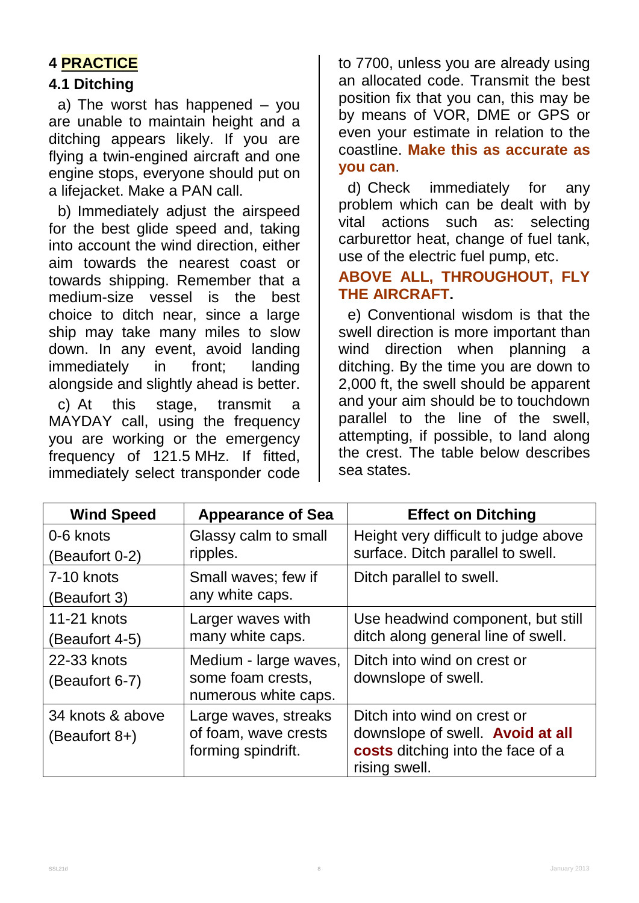# **4 PRACTICE**

#### **4.1 Ditching**

a) The worst has happened – you are unable to maintain height and a ditching appears likely. If you are flying a twin-engined aircraft and one engine stops, everyone should put on a lifejacket. Make a PAN call.

b) Immediately adjust the airspeed for the best glide speed and, taking into account the wind direction, either aim towards the nearest coast or towards shipping. Remember that a medium-size vessel is the best choice to ditch near, since a large ship may take many miles to slow down. In any event, avoid landing immediately in front; landing alongside and slightly ahead is better.

c) At this stage, transmit a MAYDAY call, using the frequency you are working or the emergency frequency of 121.5 MHz. If fitted, immediately select transponder code

to 7700, unless you are already using an allocated code. Transmit the best position fix that you can, this may be by means of VOR, DME or GPS or even your estimate in relation to the coastline. **Make this as accurate as you can**.

d) Check immediately for any problem which can be dealt with by vital actions such as: selecting carburettor heat, change of fuel tank, use of the electric fuel pump, etc.

#### **ABOVE ALL, THROUGHOUT, FLY THE AIRCRAFT.**

e) Conventional wisdom is that the swell direction is more important than wind direction when planning a ditching. By the time you are down to 2,000 ft, the swell should be apparent and your aim should be to touchdown parallel to the line of the swell, attempting, if possible, to land along the crest. The table below describes sea states.

| <b>Wind Speed</b> | <b>Appearance of Sea</b>                                           | <b>Effect on Ditching</b>                                                                            |
|-------------------|--------------------------------------------------------------------|------------------------------------------------------------------------------------------------------|
| 0-6 knots         | Glassy calm to small                                               | Height very difficult to judge above                                                                 |
| (Beaufort 0-2)    | ripples.                                                           | surface. Ditch parallel to swell.                                                                    |
| 7-10 knots        | Small waves; few if                                                | Ditch parallel to swell.                                                                             |
| (Beaufort 3)      | any white caps.                                                    |                                                                                                      |
| 11-21 knots       | Larger waves with                                                  | Use headwind component, but still                                                                    |
| (Beaufort 4-5)    | many white caps.                                                   | ditch along general line of swell.                                                                   |
| 22-33 knots       | Medium - large waves,                                              | Ditch into wind on crest or                                                                          |
| (Beaufort 6-7)    | some foam crests,                                                  | downslope of swell.                                                                                  |
|                   | numerous white caps.                                               |                                                                                                      |
| 34 knots & above  | Large waves, streaks<br>of foam, wave crests<br>forming spindrift. | Ditch into wind on crest or<br>downslope of swell. Avoid at all<br>costs ditching into the face of a |
| (Beaufort 8+)     |                                                                    |                                                                                                      |
|                   |                                                                    |                                                                                                      |
|                   |                                                                    | rising swell.                                                                                        |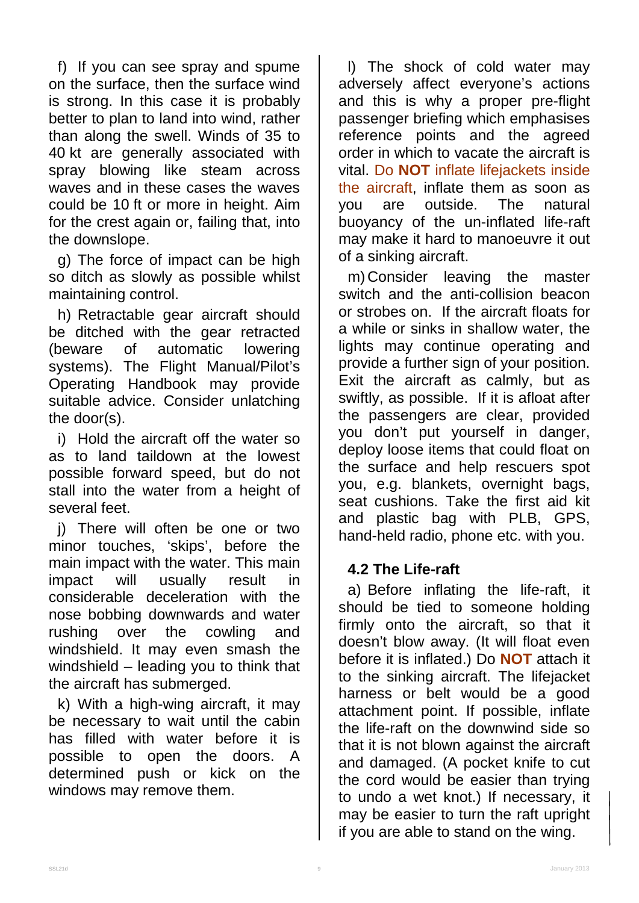f) If you can see spray and spume on the surface, then the surface wind is strong. In this case it is probably better to plan to land into wind, rather than along the swell. Winds of 35 to 40 kt are generally associated with spray blowing like steam across waves and in these cases the waves could be 10 ft or more in height. Aim for the crest again or, failing that, into the downslope.

g) The force of impact can be high so ditch as slowly as possible whilst maintaining control.

h) Retractable gear aircraft should be ditched with the gear retracted (beware of automatic lowering systems). The Flight Manual/Pilot's Operating Handbook may provide suitable advice. Consider unlatching the door(s).

i) Hold the aircraft off the water so as to land taildown at the lowest possible forward speed, but do not stall into the water from a height of several feet.

j) There will often be one or two minor touches, 'skips', before the main impact with the water. This main impact will usually result in considerable deceleration with the nose bobbing downwards and water rushing over the cowling and windshield. It may even smash the windshield – leading you to think that the aircraft has submerged.

k) With a high-wing aircraft, it may be necessary to wait until the cabin has filled with water before it is possible to open the doors. A determined push or kick on the windows may remove them.

l) The shock of cold water may adversely affect everyone's actions and this is why a proper pre-flight passenger briefing which emphasises reference points and the agreed order in which to vacate the aircraft is vital. Do **NOT** inflate lifejackets inside the aircraft, inflate them as soon as you are outside. The natural buoyancy of the un-inflated life-raft may make it hard to manoeuvre it out of a sinking aircraft.

m) Consider leaving the master switch and the anti-collision beacon or strobes on. If the aircraft floats for a while or sinks in shallow water, the lights may continue operating and provide a further sign of your position. Exit the aircraft as calmly, but as swiftly, as possible. If it is afloat after the passengers are clear, provided you don't put yourself in danger, deploy loose items that could float on the surface and help rescuers spot you, e.g. blankets, overnight bags, seat cushions. Take the first aid kit and plastic bag with PLB, GPS, hand-held radio, phone etc. with you.

#### **4.2 The Life-raft**

a) Before inflating the life-raft, it should be tied to someone holding firmly onto the aircraft, so that it doesn't blow away. (It will float even before it is inflated.) Do **NOT** attach it to the sinking aircraft. The lifejacket harness or belt would be a good attachment point. If possible, inflate the life-raft on the downwind side so that it is not blown against the aircraft and damaged. (A pocket knife to cut the cord would be easier than trying to undo a wet knot.) If necessary, it may be easier to turn the raft upright if you are able to stand on the wing.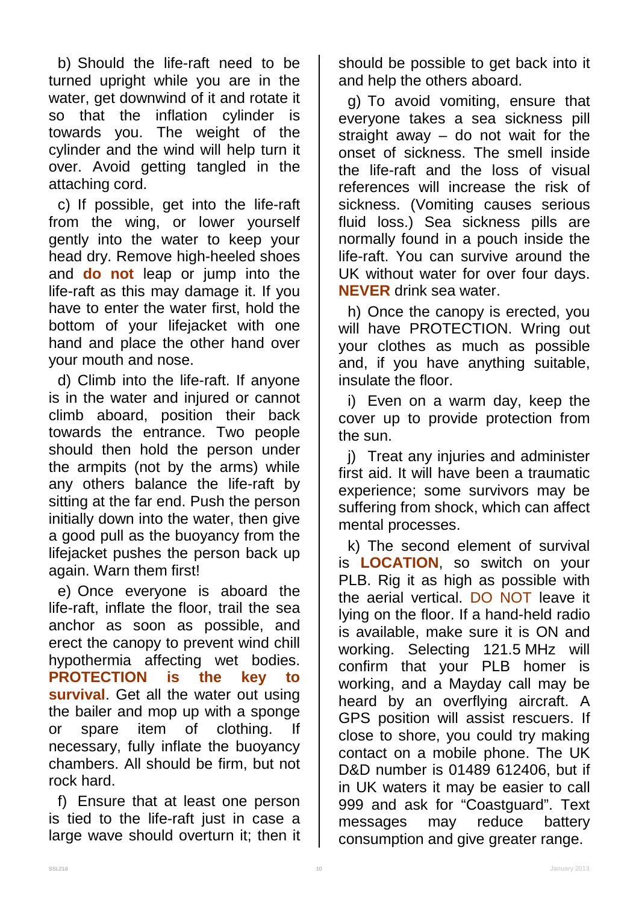b) Should the life-raft need to be turned upright while you are in the water, get downwind of it and rotate it so that the inflation cylinder is towards you. The weight of the cylinder and the wind will help turn it over. Avoid getting tangled in the attaching cord.

c) If possible, get into the life-raft from the wing, or lower yourself gently into the water to keep your head dry. Remove high-heeled shoes and **do not** leap or jump into the life-raft as this may damage it. If you have to enter the water first, hold the bottom of your lifejacket with one hand and place the other hand over your mouth and nose.

d) Climb into the life-raft. If anyone is in the water and injured or cannot climb aboard, position their back towards the entrance. Two people should then hold the person under the armpits (not by the arms) while any others balance the life-raft by sitting at the far end. Push the person initially down into the water, then give a good pull as the buoyancy from the lifejacket pushes the person back up again. Warn them first!

e) Once everyone is aboard the life-raft, inflate the floor, trail the sea anchor as soon as possible, and erect the canopy to prevent wind chill hypothermia affecting wet bodies. **PROTECTION is the key to survival**. Get all the water out using the bailer and mop up with a sponge or spare item of clothing. If necessary, fully inflate the buoyancy chambers. All should be firm, but not rock hard.

f) Ensure that at least one person is tied to the life-raft just in case a large wave should overturn it; then it should be possible to get back into it and help the others aboard.

g) To avoid vomiting, ensure that everyone takes a sea sickness pill straight away  $-$  do not wait for the onset of sickness. The smell inside the life-raft and the loss of visual references will increase the risk of sickness. (Vomiting causes serious fluid loss.) Sea sickness pills are normally found in a pouch inside the life-raft. You can survive around the UK without water for over four days. **NEVER** drink sea water.

h) Once the canopy is erected, you will have PROTECTION. Wring out your clothes as much as possible and, if you have anything suitable, insulate the floor.

i) Even on a warm day, keep the cover up to provide protection from the sun.

j) Treat any injuries and administer first aid. It will have been a traumatic experience; some survivors may be suffering from shock, which can affect mental processes.

k) The second element of survival is **LOCATION**, so switch on your PLB. Rig it as high as possible with the aerial vertical. DO NOT leave it lying on the floor. If a hand-held radio is available, make sure it is ON and working. Selecting 121.5 MHz will confirm that your PLB homer is working, and a Mayday call may be heard by an overflying aircraft. A GPS position will assist rescuers. If close to shore, you could try making contact on a mobile phone. The UK D&D number is 01489 612406, but if in UK waters it may be easier to call 999 and ask for "Coastguard". Text messages may reduce battery consumption and give greater range.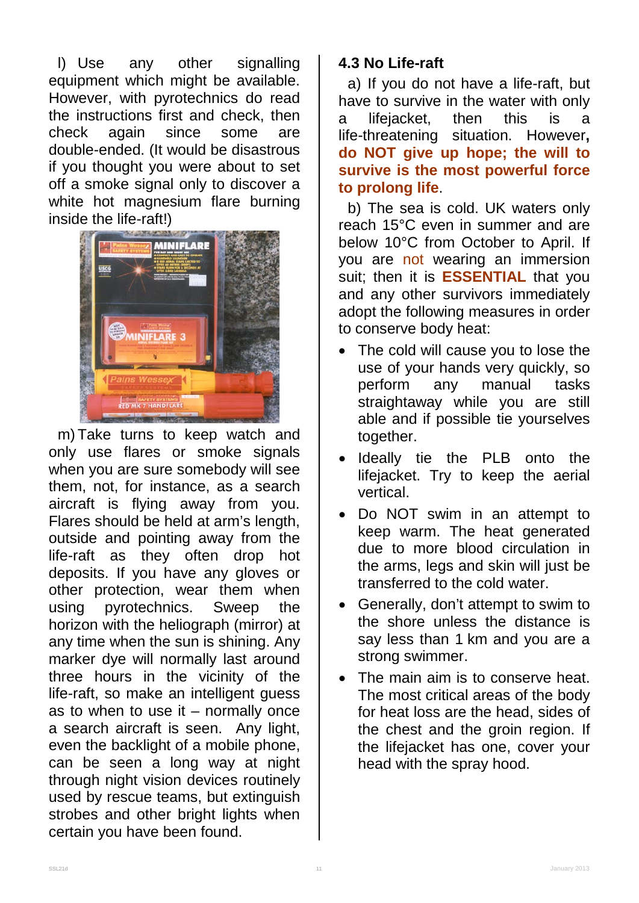l) Use any other signalling equipment which might be available. However, with pyrotechnics do read the instructions first and check, then check again since some are double-ended. (It would be disastrous if you thought you were about to set off a smoke signal only to discover a white hot magnesium flare burning inside the life-raft!)



m) Take turns to keep watch and only use flares or smoke signals when you are sure somebody will see them, not, for instance, as a search aircraft is flying away from you. Flares should be held at arm's length, outside and pointing away from the life-raft as they often drop hot deposits. If you have any gloves or other protection, wear them when using pyrotechnics. Sweep the horizon with the heliograph (mirror) at any time when the sun is shining. Any marker dye will normally last around three hours in the vicinity of the life-raft, so make an intelligent guess as to when to use it  $-$  normally once a search aircraft is seen. Any light, even the backlight of a mobile phone, can be seen a long way at night through night vision devices routinely used by rescue teams, but extinguish strobes and other bright lights when certain you have been found.

#### **4.3 No Life-raft**

a) If you do not have a life-raft, but have to survive in the water with only a lifejacket, then this is a life-threatening situation. However**, do NOT give up hope; the will to survive is the most powerful force to prolong life**.

b) The sea is cold. UK waters only reach 15°C even in summer and are below 10°C from October to April. If you are not wearing an immersion suit; then it is **ESSENTIAL** that you and any other survivors immediately adopt the following measures in order to conserve body heat:

- The cold will cause you to lose the use of your hands very quickly, so perform any manual tasks straightaway while you are still able and if possible tie yourselves together.
- Ideally tie the PLB onto the lifejacket. Try to keep the aerial vertical.
- Do NOT swim in an attempt to keep warm. The heat generated due to more blood circulation in the arms, legs and skin will just be transferred to the cold water.
- Generally, don't attempt to swim to the shore unless the distance is say less than 1 km and you are a strong swimmer.
- The main aim is to conserve heat. The most critical areas of the body for heat loss are the head, sides of the chest and the groin region. If the lifejacket has one, cover your head with the spray hood.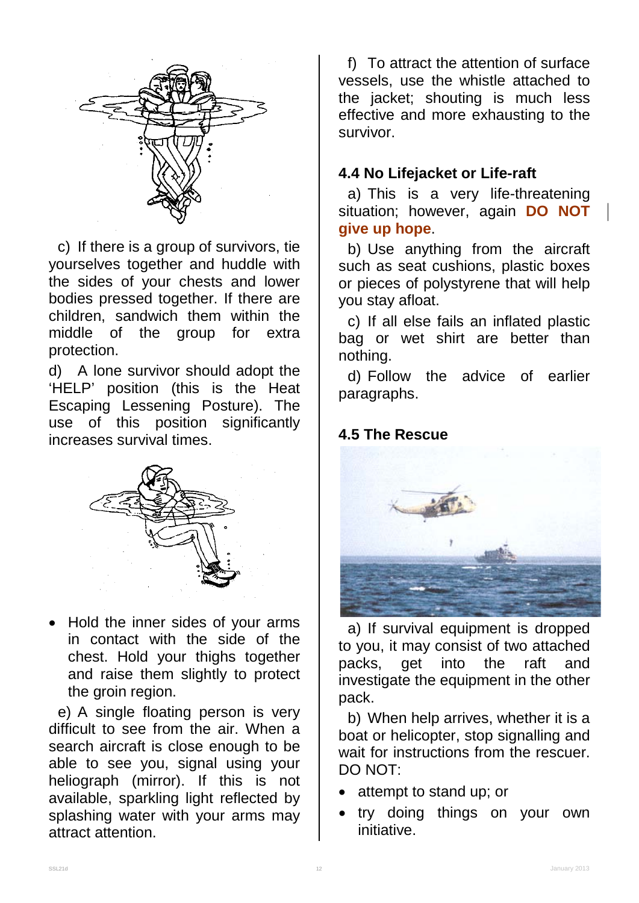

c) If there is a group of survivors, tie yourselves together and huddle with the sides of your chests and lower bodies pressed together. If there are children, sandwich them within the middle of the group for extra protection.

d) A lone survivor should adopt the 'HELP' position (this is the Heat Escaping Lessening Posture). The use of this position significantly increases survival times.



• Hold the inner sides of your arms in contact with the side of the chest. Hold your thighs together and raise them slightly to protect the groin region.

e) A single floating person is very difficult to see from the air. When a search aircraft is close enough to be able to see you, signal using your heliograph (mirror). If this is not available, sparkling light reflected by splashing water with your arms may attract attention.

f) To attract the attention of surface vessels, use the whistle attached to the jacket; shouting is much less effective and more exhausting to the survivor.

#### **4.4 No Lifejacket or Life-raft**

a) This is a very life-threatening situation; however, again **DO NOT give up hope**.

b) Use anything from the aircraft such as seat cushions, plastic boxes or pieces of polystyrene that will help you stay afloat.

c) If all else fails an inflated plastic bag or wet shirt are better than nothing.

d) Follow the advice of earlier paragraphs.

#### **4.5 The Rescue**



a) If survival equipment is dropped to you, it may consist of two attached packs, get into the raft and investigate the equipment in the other pack.

b) When help arrives, whether it is a boat or helicopter, stop signalling and wait for instructions from the rescuer. DO NOT:

- attempt to stand up; or
- try doing things on your own initiative.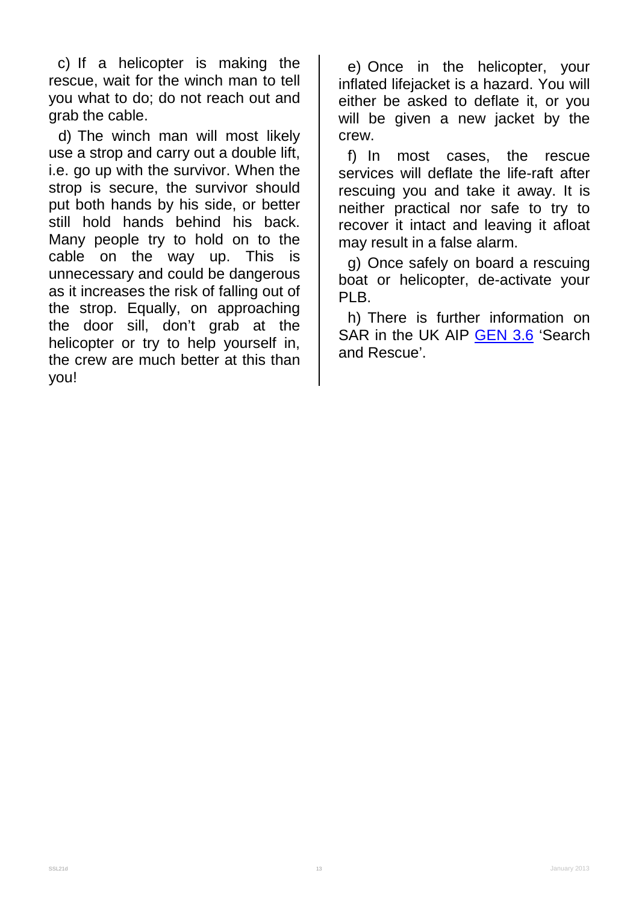c) If a helicopter is making the rescue, wait for the winch man to tell you what to do; do not reach out and grab the cable.

d) The winch man will most likely use a strop and carry out a double lift, i.e. go up with the survivor. When the strop is secure, the survivor should put both hands by his side, or better still hold hands behind his back. Many people try to hold on to the cable on the way up. This is unnecessary and could be dangerous as it increases the risk of falling out of the strop. Equally, on approaching the door sill, don't grab at the helicopter or try to help yourself in, the crew are much better at this than you!

e) Once in the helicopter, your inflated lifejacket is a hazard. You will either be asked to deflate it, or you will be given a new jacket by the crew.

f) In most cases, the rescue services will deflate the life-raft after rescuing you and take it away. It is neither practical nor safe to try to recover it intact and leaving it afloat may result in a false alarm.

g) Once safely on board a rescuing boat or helicopter, de-activate your PLB.

h) There is further information on SAR in the UK AIP [GEN 3.6](http://www.nats-uk.ead-it.com/public/index.php%3Foption=com_content&task=blogcategory&id=3&Itemid=10.html) 'Search and Rescue'.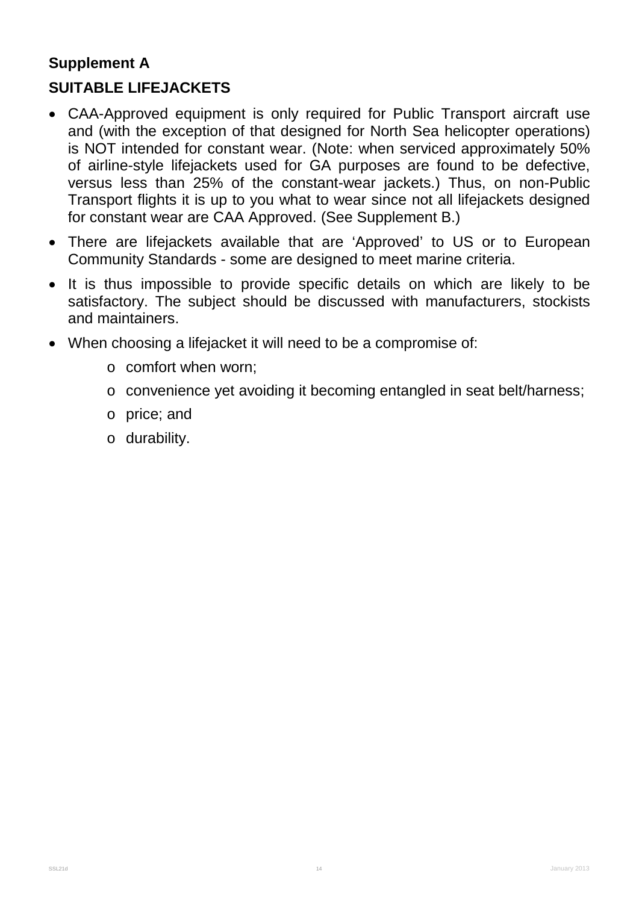# **Supplement A**

### **SUITABLE LIFEJACKETS**

- CAA-Approved equipment is only required for Public Transport aircraft use and (with the exception of that designed for North Sea helicopter operations) is NOT intended for constant wear. (Note: when serviced approximately 50% of airline-style lifejackets used for GA purposes are found to be defective, versus less than 25% of the constant-wear jackets.) Thus, on non-Public Transport flights it is up to you what to wear since not all lifejackets designed for constant wear are CAA Approved. (See Supplement B.)
- There are lifejackets available that are 'Approved' to US or to European Community Standards - some are designed to meet marine criteria.
- It is thus impossible to provide specific details on which are likely to be satisfactory. The subject should be discussed with manufacturers, stockists and maintainers.
- When choosing a lifejacket it will need to be a compromise of:
	- o comfort when worn;
	- o convenience yet avoiding it becoming entangled in seat belt/harness;
	- o price; and
	- o durability.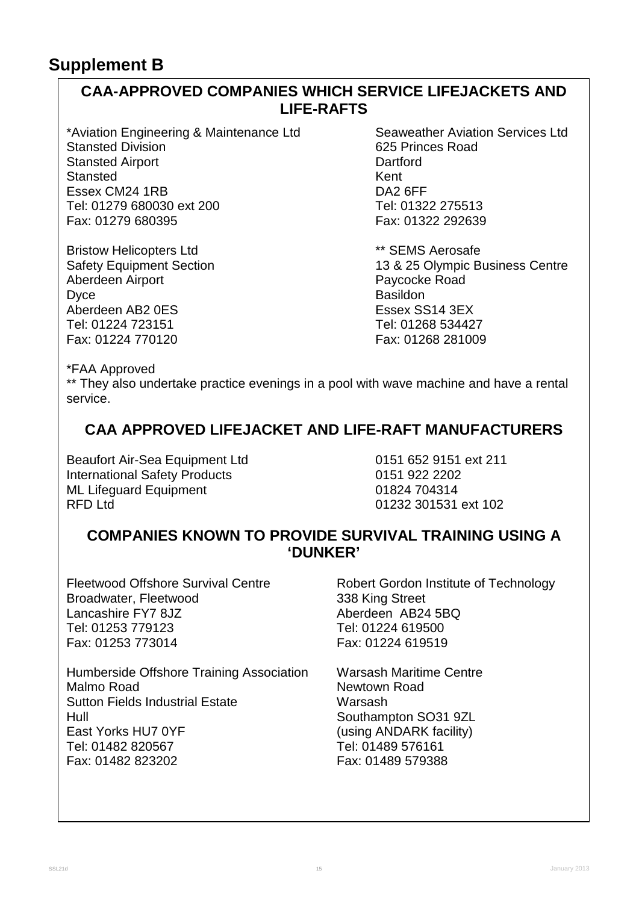#### **CAA-APPROVED COMPANIES WHICH SERVICE LIFEJACKETS AND LIFE-RAFTS**

\*Aviation Engineering & Maintenance Ltd Seaweather Aviation Services Ltd<br>Stansted Division Stansted Division Stansted Airport **Dartford Benefits and Stansted Airport** Channel Channel Dartford Benefits and Dartford Benefit<br>
Benefits and Dartford Benefits and Dartford Benefits and Dartford Benefits and Dartford Benefits and Dartfor Stansted Kent<br>
Essex CM24 1RB<br>
Essex CM24 1RB Essex CM24 1RB DA2 6FF Tel: 01279 680030 ext 200 Tel: 01322 275513 Fax: 01279 680395

Bristow Helicopters Ltd<br>
Safety Equipment Section<br>
13 & 25 Olympic B Aberdeen Airport **Paycockers**<br>
Discreen Paycockers<br>
Discreen Paycockers<br>
Pasildon Dyce Basildon Basildon Basildon Aberdeen AB2 0ES Essex SS14 3EX Fax: 01224 770120 Fax: 01268 281009

625 Princes Road<br>Dartford

13 & 25 Olympic Business Centre<br>Paycocke Road Tel: 01268 534427

\*FAA Approved

\*\* They also undertake practice evenings in a pool with wave machine and have a rental service.

#### **CAA APPROVED LIFEJACKET AND LIFE-RAFT MANUFACTURERS**

Beaufort Air-Sea Equipment Ltd<br>
International Safety Products<br>
0151 922 2202 International Safety Products ML Lifeguard Equipment 01824 704314<br>RFD Ltd 01232 301531

01232 301531 ext 102

#### **COMPANIES KNOWN TO PROVIDE SURVIVAL TRAINING USING A 'DUNKER'**

Broadwater, Fleetwood 338 King Street<br>
Lancashire FY7 8JZ<br>
Aberdeen AB24 Tel: 01253 779123 Fax: 01253 773014 Fax: 01224 619519

Humberside Offshore Training Association Warsash Maritime Centre<br>Malmo Road Maritime Road Sutton Fields Industrial Estate Warsash Hull<br>
East Yorks HU7 0YF Cast Cusing ANDARK facility Tel: 01482 820567 Tel: 01489 576161 Fax: 01482 823202

Fleetwood Offshore Survival Centre **Robert Gordon Institute of Technology** Aberdeen AB24 5BQ<br>Tel: 01224 619500

> Newtown Road (using ANDARK facility)<br>Tel: 01489 576161